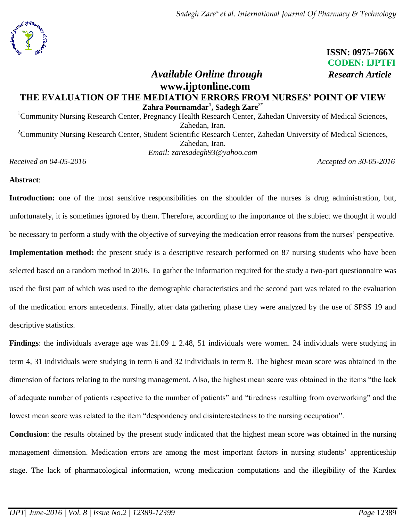

 **ISSN: 0975-766X CODEN: IJPTFI**

# *Available Online through Research Article* **www.ijptonline.com THE EVALUATION OF THE MEDIATION ERRORS FROM NURSES' POINT OF VIEW Zahra Pournamdar<sup>1</sup> , Sadegh Zare2\***

<sup>1</sup>Community Nursing Research Center, Pregnancy Health Research Center, Zahedan University of Medical Sciences, Zahedan, Iran. <sup>2</sup>Community Nursing Research Center, Student Scientific Research Center, Zahedan University of Medical Sciences, Zahedan, Iran.

*Email: [zaresadegh93@yahoo.com](mailto:zaresadegh93@yahoo.com)*

*Received on 04-05-2016 Accepted on 30-05-2016*

**Abstract**:

**Introduction:** one of the most sensitive responsibilities on the shoulder of the nurses is drug administration, but, unfortunately, it is sometimes ignored by them. Therefore, according to the importance of the subject we thought it would be necessary to perform a study with the objective of surveying the medication error reasons from the nurses' perspective. **Implementation method:** the present study is a descriptive research performed on 87 nursing students who have been selected based on a random method in 2016. To gather the information required for the study a two-part questionnaire was used the first part of which was used to the demographic characteristics and the second part was related to the evaluation of the medication errors antecedents. Finally, after data gathering phase they were analyzed by the use of SPSS 19 and descriptive statistics.

**Findings**: the individuals average age was  $21.09 \pm 2.48$ , 51 individuals were women. 24 individuals were studying in term 4, 31 individuals were studying in term 6 and 32 individuals in term 8. The highest mean score was obtained in the dimension of factors relating to the nursing management. Also, the highest mean score was obtained in the items "the lack of adequate number of patients respective to the number of patients" and "tiredness resulting from overworking" and the lowest mean score was related to the item "despondency and disinterestedness to the nursing occupation".

**Conclusion**: the results obtained by the present study indicated that the highest mean score was obtained in the nursing management dimension. Medication errors are among the most important factors in nursing students' apprenticeship stage. The lack of pharmacological information, wrong medication computations and the illegibility of the Kardex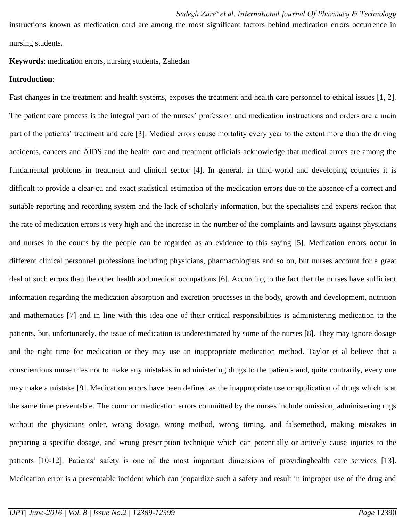instructions known as medication card are among the most significant factors behind medication errors occurrence in nursing students.

## **Keywords**: medication errors, nursing students, Zahedan

### **Introduction**:

Fast changes in the treatment and health systems, exposes the treatment and health care personnel to ethical issues [1, 2]. The patient care process is the integral part of the nurses' profession and medication instructions and orders are a main part of the patients' treatment and care [3]. Medical errors cause mortality every year to the extent more than the driving accidents, cancers and AIDS and the health care and treatment officials acknowledge that medical errors are among the fundamental problems in treatment and clinical sector [4]. In general, in third-world and developing countries it is difficult to provide a clear-cu and exact statistical estimation of the medication errors due to the absence of a correct and suitable reporting and recording system and the lack of scholarly information, but the specialists and experts reckon that the rate of medication errors is very high and the increase in the number of the complaints and lawsuits against physicians and nurses in the courts by the people can be regarded as an evidence to this saying [5]. Medication errors occur in different clinical personnel professions including physicians, pharmacologists and so on, but nurses account for a great deal of such errors than the other health and medical occupations [6]. According to the fact that the nurses have sufficient information regarding the medication absorption and excretion processes in the body, growth and development, nutrition and mathematics [7] and in line with this idea one of their critical responsibilities is administering medication to the patients, but, unfortunately, the issue of medication is underestimated by some of the nurses [8]. They may ignore dosage and the right time for medication or they may use an inappropriate medication method. Taylor et al believe that a conscientious nurse tries not to make any mistakes in administering drugs to the patients and, quite contrarily, every one may make a mistake [9]. Medication errors have been defined as the inappropriate use or application of drugs which is at the same time preventable. The common medication errors committed by the nurses include omission, administering rugs without the physicians order, wrong dosage, wrong method, wrong timing, and falsemethod, making mistakes in preparing a specific dosage, and wrong prescription technique which can potentially or actively cause injuries to the patients [10-12]. Patients' safety is one of the most important dimensions of providinghealth care services [13]. Medication error is a preventable incident which can jeopardize such a safety and result in improper use of the drug and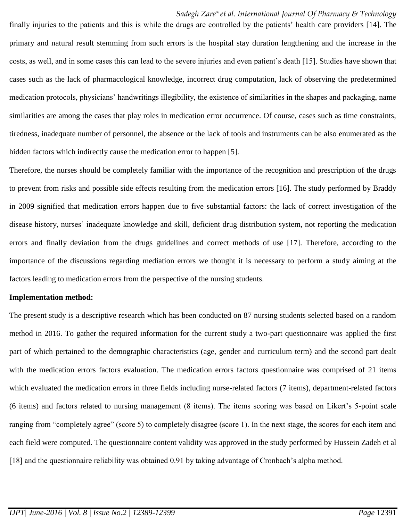finally injuries to the patients and this is while the drugs are controlled by the patients' health care providers [14]. The primary and natural result stemming from such errors is the hospital stay duration lengthening and the increase in the costs, as well, and in some cases this can lead to the severe injuries and even patient's death [15]. Studies have shown that cases such as the lack of pharmacological knowledge, incorrect drug computation, lack of observing the predetermined medication protocols, physicians' handwritings illegibility, the existence of similarities in the shapes and packaging, name similarities are among the cases that play roles in medication error occurrence. Of course, cases such as time constraints, tiredness, inadequate number of personnel, the absence or the lack of tools and instruments can be also enumerated as the hidden factors which indirectly cause the medication error to happen [5].

Therefore, the nurses should be completely familiar with the importance of the recognition and prescription of the drugs to prevent from risks and possible side effects resulting from the medication errors [16]. The study performed by Braddy in 2009 signified that medication errors happen due to five substantial factors: the lack of correct investigation of the disease history, nurses' inadequate knowledge and skill, deficient drug distribution system, not reporting the medication errors and finally deviation from the drugs guidelines and correct methods of use [17]. Therefore, according to the importance of the discussions regarding mediation errors we thought it is necessary to perform a study aiming at the factors leading to medication errors from the perspective of the nursing students.

#### **Implementation method:**

The present study is a descriptive research which has been conducted on 87 nursing students selected based on a random method in 2016. To gather the required information for the current study a two-part questionnaire was applied the first part of which pertained to the demographic characteristics (age, gender and curriculum term) and the second part dealt with the medication errors factors evaluation. The medication errors factors questionnaire was comprised of 21 items which evaluated the medication errors in three fields including nurse-related factors (7 items), department-related factors (6 items) and factors related to nursing management (8 items). The items scoring was based on Likert's 5-point scale ranging from "completely agree" (score 5) to completely disagree (score 1). In the next stage, the scores for each item and each field were computed. The questionnaire content validity was approved in the study performed by Hussein Zadeh et al [18] and the questionnaire reliability was obtained 0.91 by taking advantage of Cronbach's alpha method.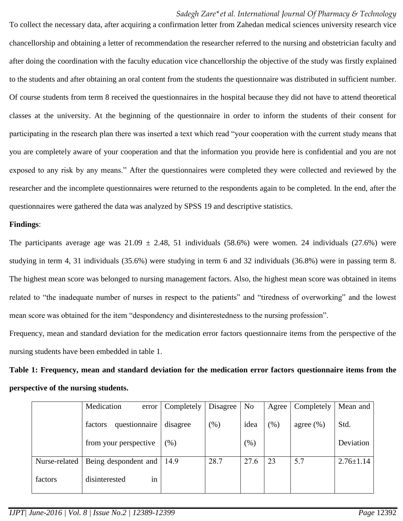To collect the necessary data, after acquiring a confirmation letter from Zahedan medical sciences university research vice chancellorship and obtaining a letter of recommendation the researcher referred to the nursing and obstetrician faculty and after doing the coordination with the faculty education vice chancellorship the objective of the study was firstly explained to the students and after obtaining an oral content from the students the questionnaire was distributed in sufficient number. Of course students from term 8 received the questionnaires in the hospital because they did not have to attend theoretical classes at the university. At the beginning of the questionnaire in order to inform the students of their consent for participating in the research plan there was inserted a text which read "your cooperation with the current study means that you are completely aware of your cooperation and that the information you provide here is confidential and you are not exposed to any risk by any means." After the questionnaires were completed they were collected and reviewed by the researcher and the incomplete questionnaires were returned to the respondents again to be completed. In the end, after the questionnaires were gathered the data was analyzed by SPSS 19 and descriptive statistics.

# **Findings**:

The participants average age was  $21.09 \pm 2.48$ , 51 individuals (58.6%) were women. 24 individuals (27.6%) were studying in term 4, 31 individuals (35.6%) were studying in term 6 and 32 individuals (36.8%) were in passing term 8. The highest mean score was belonged to nursing management factors. Also, the highest mean score was obtained in items related to "the inadequate number of nurses in respect to the patients" and "tiredness of overworking" and the lowest mean score was obtained for the item "despondency and disinterestedness to the nursing profession".

Frequency, mean and standard deviation for the medication error factors questionnaire items from the perspective of the nursing students have been embedded in table 1.

**Table 1: Frequency, mean and standard deviation for the medication error factors questionnaire items from the perspective of the nursing students.**

|               | Medication<br>error      | Completely | <b>Disagree</b> | N <sub>o</sub> | Agree | Completely    | Mean and        |
|---------------|--------------------------|------------|-----------------|----------------|-------|---------------|-----------------|
|               | questionnaire<br>factors | disagree   | (% )            | idea           | (% )  | agree $(\% )$ | Std.            |
|               | from your perspective    | $(\%)$     |                 | (% )           |       |               | Deviation       |
| Nurse-related | Being despondent and     | 14.9       | 28.7            | 27.6           | 23    | 5.7           | $2.76 \pm 1.14$ |
| factors       | disinterested<br>1n      |            |                 |                |       |               |                 |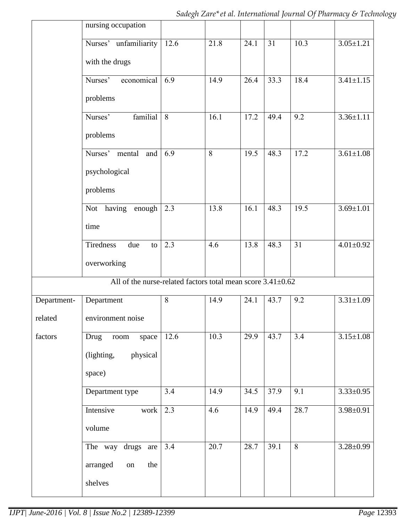|             | nursing occupation                                                |      |      |      |      |      |                 |
|-------------|-------------------------------------------------------------------|------|------|------|------|------|-----------------|
|             | Nurses' unfamiliarity                                             | 12.6 | 21.8 | 24.1 | 31   | 10.3 | $3.05 \pm 1.21$ |
|             | with the drugs                                                    |      |      |      |      |      |                 |
|             | Nurses'<br>economical                                             | 6.9  | 14.9 | 26.4 | 33.3 | 18.4 | $3.41 \pm 1.15$ |
|             | problems                                                          |      |      |      |      |      |                 |
|             | familial<br>Nurses'                                               | 8    | 16.1 | 17.2 | 49.4 | 9.2  | $3.36 \pm 1.11$ |
|             | problems                                                          |      |      |      |      |      |                 |
|             | Nurses' mental<br>and                                             | 6.9  | 8    | 19.5 | 48.3 | 17.2 | $3.61 \pm 1.08$ |
|             | psychological                                                     |      |      |      |      |      |                 |
|             | problems                                                          |      |      |      |      |      |                 |
|             | Not having<br>enough                                              | 2.3  | 13.8 | 16.1 | 48.3 | 19.5 | $3.69 \pm 1.01$ |
|             | time                                                              |      |      |      |      |      |                 |
|             | Tiredness<br>due<br>to                                            | 2.3  | 4.6  | 13.8 | 48.3 | 31   | $4.01 \pm 0.92$ |
|             | overworking                                                       |      |      |      |      |      |                 |
|             | All of the nurse-related factors total mean score $3.41 \pm 0.62$ |      |      |      |      |      |                 |
| Department- | Department                                                        | 8    | 14.9 | 24.1 | 43.7 | 9.2  | $3.31 \pm 1.09$ |
| related     | environment noise                                                 |      |      |      |      |      |                 |
| factors     | Drug<br>space<br>$\operatorname{room}$                            | 12.6 | 10.3 | 29.9 | 43.7 | 3.4  | $3.15 \pm 1.08$ |
|             | physical<br>(lighting,                                            |      |      |      |      |      |                 |
|             | space)                                                            |      |      |      |      |      |                 |
|             | Department type                                                   | 3.4  | 14.9 | 34.5 | 37.9 | 9.1  | $3.33 \pm 0.95$ |
|             | Intensive<br>work                                                 | 2.3  | 4.6  | 14.9 | 49.4 | 28.7 | $3.98 \pm 0.91$ |
|             | volume                                                            |      |      |      |      |      |                 |
|             | The way drugs<br>are                                              | 3.4  | 20.7 | 28.7 | 39.1 | 8    | $3.28 \pm 0.99$ |
|             | the<br>arranged<br>on                                             |      |      |      |      |      |                 |
|             | shelves                                                           |      |      |      |      |      |                 |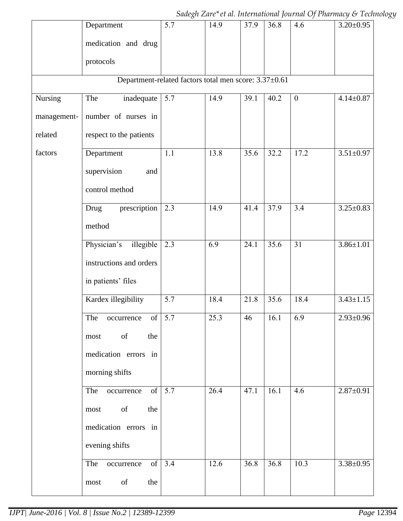|             | Department                                            | 5.7 | 14.9 | 37.9 | 36.8 | 4.6              | $3.20 \pm 0.95$ |
|-------------|-------------------------------------------------------|-----|------|------|------|------------------|-----------------|
|             | medication and drug                                   |     |      |      |      |                  |                 |
|             | protocols                                             |     |      |      |      |                  |                 |
|             | Department-related factors total men score: 3.37±0.61 |     |      |      |      |                  |                 |
| Nursing     | The<br>inadequate                                     | 5.7 | 14.9 | 39.1 | 40.2 | $\boldsymbol{0}$ | $4.14 \pm 0.87$ |
| management- | number of nurses in                                   |     |      |      |      |                  |                 |
| related     | respect to the patients                               |     |      |      |      |                  |                 |
| factors     | Department                                            | 1.1 | 13.8 | 35.6 | 32.2 | 17.2             | $3.51 \pm 0.97$ |
|             | supervision<br>and                                    |     |      |      |      |                  |                 |
|             | control method                                        |     |      |      |      |                  |                 |
|             | prescription<br>Drug                                  | 2.3 | 14.9 | 41.4 | 37.9 | 3.4              | $3.25 \pm 0.83$ |
|             | method                                                |     |      |      |      |                  |                 |
|             | Physician's<br>illegible                              | 2.3 | 6.9  | 24.1 | 35.6 | 31               | $3.86 \pm 1.01$ |
|             | instructions and orders                               |     |      |      |      |                  |                 |
|             | in patients' files                                    |     |      |      |      |                  |                 |
|             | Kardex illegibility                                   | 5.7 | 18.4 | 21.8 | 35.6 | 18.4             | $3.43 \pm 1.15$ |
|             | $\alpha$ occurrence of $\boxed{5.7}$<br>The           |     | 25.3 | 46   | 16.1 | 6.9              | $2.93 \pm 0.96$ |
|             | $\sigma f$<br>the<br>most                             |     |      |      |      |                  |                 |
|             | medication errors in                                  |     |      |      |      |                  |                 |
|             | morning shifts                                        |     |      |      |      |                  |                 |
|             | of<br>The<br>occurrence                               | 5.7 | 26.4 | 47.1 | 16.1 | 4.6              | $2.87 \pm 0.91$ |
|             | of<br>the<br>most                                     |     |      |      |      |                  |                 |
|             | medication errors in                                  |     |      |      |      |                  |                 |
|             | evening shifts                                        |     |      |      |      |                  |                 |
|             | of<br>The<br>occurrence                               | 3.4 | 12.6 | 36.8 | 36.8 | 10.3             | $3.38 \pm 0.95$ |
|             | of<br>the<br>most                                     |     |      |      |      |                  |                 |

*Sadegh Zare\*et al. International Journal Of Pharmacy & Technology*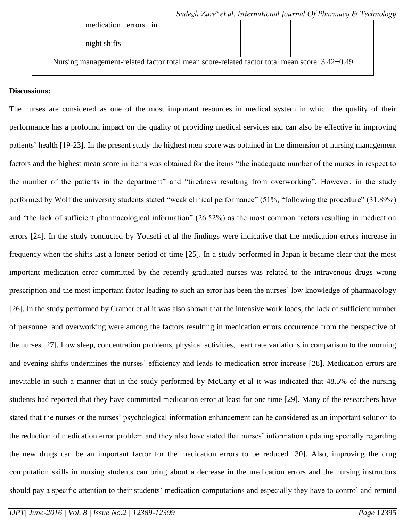|                                                                                               | medication errors<br>1n |  |  |  |  |  |  |
|-----------------------------------------------------------------------------------------------|-------------------------|--|--|--|--|--|--|
|                                                                                               | night shifts            |  |  |  |  |  |  |
| Nursing management-related factor total mean score-related factor total mean score: 3.42±0.49 |                         |  |  |  |  |  |  |

# **Discussions:**

The nurses are considered as one of the most important resources in medical system in which the quality of their performance has a profound impact on the quality of providing medical services and can also be effective in improving patients' health [19-23]. In the present study the highest men score was obtained in the dimension of nursing management factors and the highest mean score in items was obtained for the items "the inadequate number of the nurses in respect to the number of the patients in the department" and "tiredness resulting from overworking". However, in the study performed by Wolf the university students stated "weak clinical performance" (51%, "following the procedure" (31.89%) and "the lack of sufficient pharmacological information" (26.52%) as the most common factors resulting in medication errors [24]. In the study conducted by Yousefi et al the findings were indicative that the medication errors increase in frequency when the shifts last a longer period of time [25]. In a study performed in Japan it became clear that the most important medication error committed by the recently graduated nurses was related to the intravenous drugs wrong prescription and the most important factor leading to such an error has been the nurses' low knowledge of pharmacology [26]. In the study performed by Cramer et al it was also shown that the intensive work loads, the lack of sufficient number of personnel and overworking were among the factors resulting in medication errors occurrence from the perspective of the nurses [27]. Low sleep, concentration problems, physical activities, heart rate variations in comparison to the morning and evening shifts undermines the nurses' efficiency and leads to medication error increase [28]. Medication errors are inevitable in such a manner that in the study performed by McCarty et al it was indicated that 48.5% of the nursing students had reported that they have committed medication error at least for one time [29]. Many of the researchers have stated that the nurses or the nurses' psychological information enhancement can be considered as an important solution to the reduction of medication error problem and they also have stated that nurses' information updating specially regarding the new drugs can be an important factor for the medication errors to be reduced [30]. Also, improving the drug computation skills in nursing students can bring about a decrease in the medication errors and the nursing instructors should pay a specific attention to their students' medication computations and especially they have to control and remind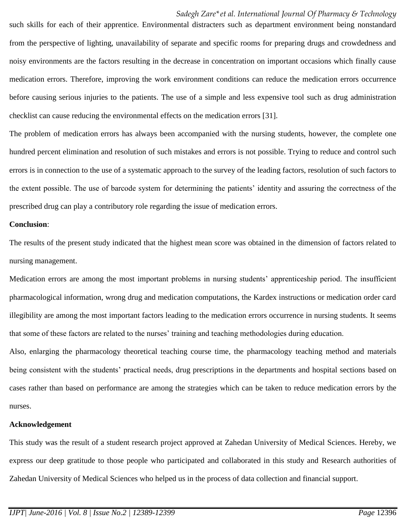such skills for each of their apprentice. Environmental distracters such as department environment being nonstandard from the perspective of lighting, unavailability of separate and specific rooms for preparing drugs and crowdedness and noisy environments are the factors resulting in the decrease in concentration on important occasions which finally cause medication errors. Therefore, improving the work environment conditions can reduce the medication errors occurrence before causing serious injuries to the patients. The use of a simple and less expensive tool such as drug administration checklist can cause reducing the environmental effects on the medication errors [31].

The problem of medication errors has always been accompanied with the nursing students, however, the complete one hundred percent elimination and resolution of such mistakes and errors is not possible. Trying to reduce and control such errors is in connection to the use of a systematic approach to the survey of the leading factors, resolution of such factors to the extent possible. The use of barcode system for determining the patients' identity and assuring the correctness of the prescribed drug can play a contributory role regarding the issue of medication errors.

### **Conclusion**:

The results of the present study indicated that the highest mean score was obtained in the dimension of factors related to nursing management.

Medication errors are among the most important problems in nursing students' apprenticeship period. The insufficient pharmacological information, wrong drug and medication computations, the Kardex instructions or medication order card illegibility are among the most important factors leading to the medication errors occurrence in nursing students. It seems that some of these factors are related to the nurses' training and teaching methodologies during education.

Also, enlarging the pharmacology theoretical teaching course time, the pharmacology teaching method and materials being consistent with the students' practical needs, drug prescriptions in the departments and hospital sections based on cases rather than based on performance are among the strategies which can be taken to reduce medication errors by the nurses.

### **Acknowledgement**

This study was the result of a student research project approved at Zahedan University of Medical Sciences. Hereby, we express our deep gratitude to those people who participated and collaborated in this study and Research authorities of Zahedan University of Medical Sciences who helped us in the process of data collection and financial support.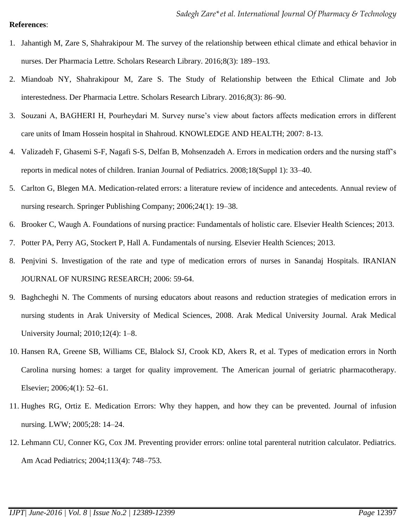## **References**:

- 1. Jahantigh M, Zare S, Shahrakipour M. The survey of the relationship between ethical climate and ethical behavior in nurses. Der Pharmacia Lettre. Scholars Research Library. 2016;8(3): 189–193.
- 2. Miandoab NY, Shahrakipour M, Zare S. The Study of Relationship between the Ethical Climate and Job interestedness. Der Pharmacia Lettre. Scholars Research Library. 2016;8(3): 86–90.
- 3. Souzani A, BAGHERI H, Pourheydari M. Survey nurse's view about factors affects medication errors in different care units of Imam Hossein hospital in Shahroud. KNOWLEDGE AND HEALTH; 2007: 8-13.
- 4. Valizadeh F, Ghasemi S-F, Nagafi S-S, Delfan B, Mohsenzadeh A. Errors in medication orders and the nursing staff's reports in medical notes of children. Iranian Journal of Pediatrics. 2008;18(Suppl 1): 33–40.
- 5. Carlton G, Blegen MA. Medication-related errors: a literature review of incidence and antecedents. Annual review of nursing research. Springer Publishing Company; 2006;24(1): 19–38.
- 6. Brooker C, Waugh A. Foundations of nursing practice: Fundamentals of holistic care. Elsevier Health Sciences; 2013.
- 7. Potter PA, Perry AG, Stockert P, Hall A. Fundamentals of nursing. Elsevier Health Sciences; 2013.
- 8. Penjvini S. Investigation of the rate and type of medication errors of nurses in Sanandaj Hospitals. IRANIAN JOURNAL OF NURSING RESEARCH; 2006: 59-64.
- 9. Baghcheghi N. The Comments of nursing educators about reasons and reduction strategies of medication errors in nursing students in Arak University of Medical Sciences, 2008. Arak Medical University Journal. Arak Medical University Journal; 2010;12(4): 1–8.
- 10. Hansen RA, Greene SB, Williams CE, Blalock SJ, Crook KD, Akers R, et al. Types of medication errors in North Carolina nursing homes: a target for quality improvement. The American journal of geriatric pharmacotherapy. Elsevier; 2006;4(1): 52–61.
- 11. Hughes RG, Ortiz E. Medication Errors: Why they happen, and how they can be prevented. Journal of infusion nursing. LWW; 2005;28: 14–24.
- 12. Lehmann CU, Conner KG, Cox JM. Preventing provider errors: online total parenteral nutrition calculator. Pediatrics. Am Acad Pediatrics; 2004;113(4): 748–753.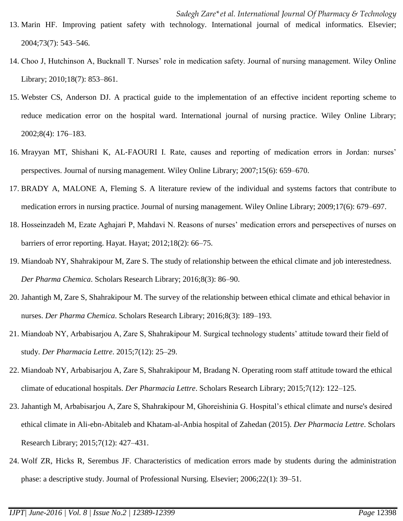- 13. Marin HF. Improving patient safety with technology. International journal of medical informatics. Elsevier; 2004;73(7): 543–546.
- 14. Choo J, Hutchinson A, Bucknall T. Nurses' role in medication safety. Journal of nursing management. Wiley Online Library; 2010;18(7): 853–861.
- 15. Webster CS, Anderson DJ. A practical guide to the implementation of an effective incident reporting scheme to reduce medication error on the hospital ward. International journal of nursing practice. Wiley Online Library; 2002;8(4): 176–183.
- 16. Mrayyan MT, Shishani K, AL‐FAOURI I. Rate, causes and reporting of medication errors in Jordan: nurses' perspectives. Journal of nursing management. Wiley Online Library; 2007;15(6): 659–670.
- 17. BRADY A, MALONE A, Fleming S. A literature review of the individual and systems factors that contribute to medication errors in nursing practice. Journal of nursing management. Wiley Online Library; 2009;17(6): 679–697.
- 18. Hosseinzadeh M, Ezate Aghajari P, Mahdavi N. Reasons of nurses' medication errors and persepectives of nurses on barriers of error reporting. Hayat. Hayat; 2012;18(2): 66–75.
- 19. Miandoab NY, Shahrakipour M, Zare S. The study of relationship between the ethical climate and job interestedness. *Der Pharma Chemica*. Scholars Research Library; 2016;8(3): 86–90.
- 20. Jahantigh M, Zare S, Shahrakipour M. The survey of the relationship between ethical climate and ethical behavior in nurses. *Der Pharma Chemica*. Scholars Research Library; 2016;8(3): 189–193.
- 21. Miandoab NY, Arbabisarjou A, Zare S, Shahrakipour M. Surgical technology students' attitude toward their field of study. *Der Pharmacia Lettre*. 2015;7(12): 25–29.
- 22. Miandoab NY, Arbabisarjou A, Zare S, Shahrakipour M, Bradang N. Operating room staff attitude toward the ethical climate of educational hospitals. *Der Pharmacia Lettre*. Scholars Research Library; 2015;7(12): 122–125.
- 23. Jahantigh M, Arbabisarjou A, Zare S, Shahrakipour M, Ghoreishinia G. Hospital's ethical climate and nurse's desired ethical climate in Ali-ebn-Abitaleb and Khatam-al-Anbia hospital of Zahedan (2015). *Der Pharmacia Lettre*. Scholars Research Library; 2015;7(12): 427–431.
- 24. Wolf ZR, Hicks R, Serembus JF. Characteristics of medication errors made by students during the administration phase: a descriptive study. Journal of Professional Nursing. Elsevier; 2006;22(1): 39–51.